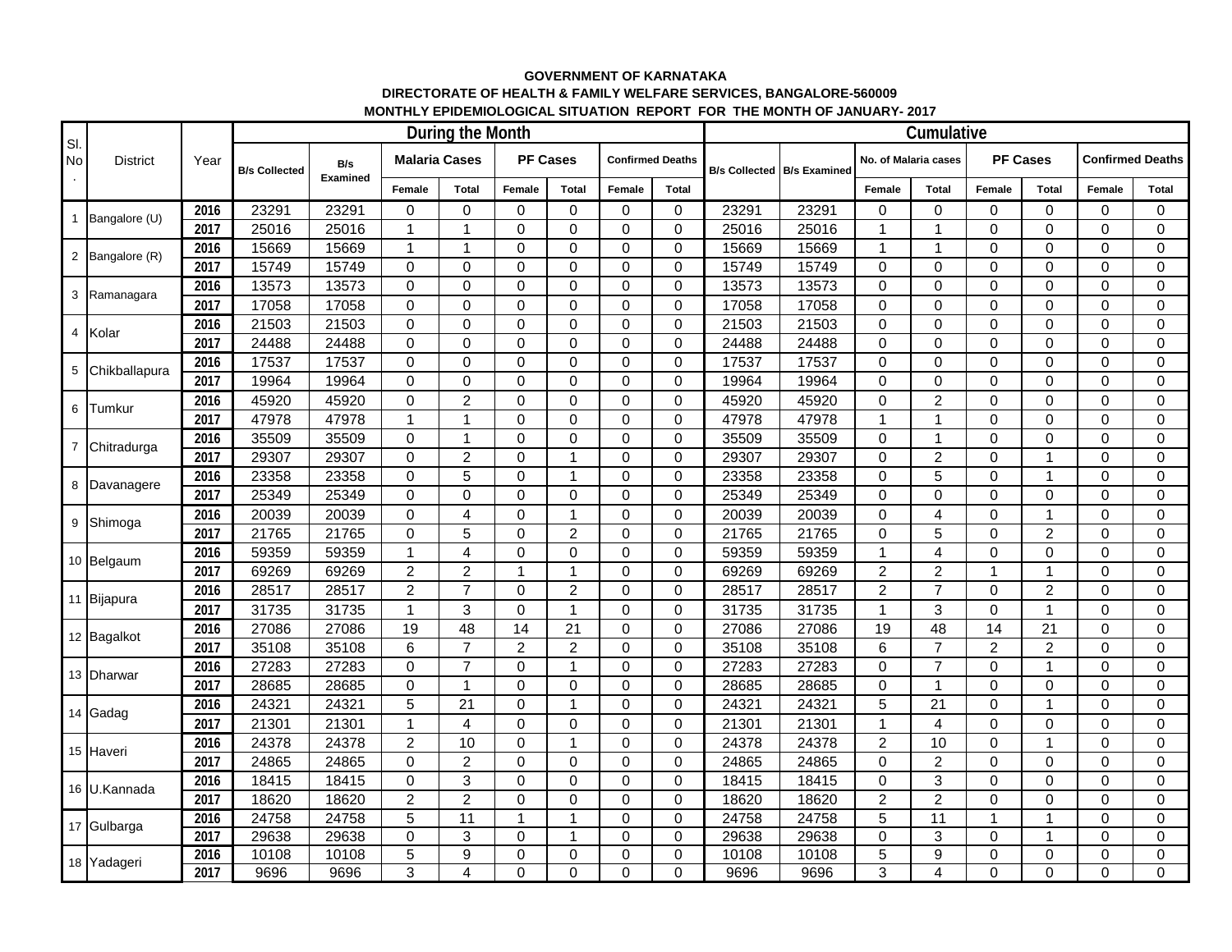## **GOVERNMENT OF KARNATAKA DIRECTORATE OF HEALTH & FAMILY WELFARE SERVICES, BANGALORE-560009 MONTHLY EPIDEMIOLOGICAL SITUATION REPORT FOR THE MONTH OF JANUARY- 2017**

| SI.<br><b>No</b> | <b>District</b> | Year | During the Month     |                 |                      |                |                 |                |                         |              |       |                                     |                      | Cumulative              |                 |                |                         | Female<br>Total<br>0<br>0 |  |  |  |  |  |  |  |
|------------------|-----------------|------|----------------------|-----------------|----------------------|----------------|-----------------|----------------|-------------------------|--------------|-------|-------------------------------------|----------------------|-------------------------|-----------------|----------------|-------------------------|---------------------------|--|--|--|--|--|--|--|
|                  |                 |      | <b>B/s Collected</b> | B/s<br>Examined | <b>Malaria Cases</b> |                | <b>PF Cases</b> |                | <b>Confirmed Deaths</b> |              |       | <b>B/s Collected   B/s Examined</b> | No. of Malaria cases |                         | <b>PF Cases</b> |                | <b>Confirmed Deaths</b> |                           |  |  |  |  |  |  |  |
|                  |                 |      |                      |                 | Female               | <b>Total</b>   | Female          | <b>Total</b>   | Female                  | <b>Total</b> |       |                                     | Female               | Total                   | Female          | <b>Total</b>   |                         |                           |  |  |  |  |  |  |  |
| $\mathbf{1}$     | Bangalore (U)   | 2016 | 23291                | 23291           | 0                    | $\Omega$       | $\mathbf 0$     | 0              | $\mathbf 0$             | 0            | 23291 | 23291                               | 0                    | 0                       | $\Omega$        | 0              |                         |                           |  |  |  |  |  |  |  |
|                  |                 | 2017 | 25016                | 25016           | $\mathbf{1}$         | $\mathbf{1}$   | $\mathbf 0$     | 0              | $\mathbf 0$             | $\mathbf 0$  | 25016 | 25016                               | $\overline{1}$       | $\mathbf{1}$            | $\Omega$        | $\Omega$       | $\Omega$                | $\Omega$                  |  |  |  |  |  |  |  |
| $\overline{c}$   | Bangalore (R)   | 2016 | 15669                | 15669           | $\mathbf{1}$         | $\mathbf 1$    | $\mathbf 0$     | 0              | $\mathbf 0$             | $\mathbf 0$  | 15669 | 15669                               | $\overline{1}$       | $\mathbf{1}$            | 0               | $\Omega$       | $\mathbf 0$             | $\mathbf 0$               |  |  |  |  |  |  |  |
|                  |                 | 2017 | 15749                | 15749           | 0                    | 0              | $\mathbf 0$     | 0              | $\mathbf 0$             | 0            | 15749 | 15749                               | $\mathbf 0$          | $\pmb{0}$               | 0               | 0              | $\mathbf 0$             | $\mathbf 0$               |  |  |  |  |  |  |  |
| 3                | Ramanagara      | 2016 | 13573                | 13573           | 0                    | $\Omega$       | $\mathbf 0$     | 0              | $\Omega$                | 0            | 13573 | 13573                               | $\mathbf 0$          | $\pmb{0}$               | $\Omega$        | $\Omega$       | $\mathbf 0$             | $\Omega$                  |  |  |  |  |  |  |  |
|                  |                 | 2017 | 17058                | 17058           | 0                    | 0              | $\mathbf 0$     | 0              | $\mathbf 0$             | $\mathbf 0$  | 17058 | 17058                               | $\mathbf 0$          | $\pmb{0}$               | 0               | $\Omega$       | $\mathbf 0$             | $\mathbf 0$               |  |  |  |  |  |  |  |
| 4                | Kolar           | 2016 | 21503                | 21503           | 0                    | $\Omega$       | $\Omega$        | $\Omega$       | $\Omega$                | $\Omega$     | 21503 | 21503                               | $\Omega$             | 0                       | $\Omega$        | $\Omega$       | $\Omega$                | $\Omega$                  |  |  |  |  |  |  |  |
|                  |                 | 2017 | 24488                | 24488           | $\Omega$             | $\Omega$       | $\Omega$        | $\Omega$       | $\Omega$                | $\Omega$     | 24488 | 24488                               | $\Omega$             | $\pmb{0}$               | $\Omega$        | $\Omega$       | $\Omega$                | $\Omega$                  |  |  |  |  |  |  |  |
| 5                | Chikballapura   | 2016 | 17537                | 17537           | $\Omega$             | $\Omega$       | $\overline{0}$  | $\Omega$       | $\Omega$                | $\Omega$     | 17537 | 17537                               | $\Omega$             | $\pmb{0}$               | $\Omega$        | $\Omega$       | $\Omega$                | $\Omega$                  |  |  |  |  |  |  |  |
|                  |                 | 2017 | 19964                | 19964           | $\Omega$             | $\Omega$       | $\overline{0}$  | $\Omega$       | $\Omega$                | $\Omega$     | 19964 | 19964                               | $\Omega$             | $\pmb{0}$               | $\Omega$        | $\Omega$       | $\Omega$                | $\Omega$                  |  |  |  |  |  |  |  |
| 6                | Tumkur          | 2016 | 45920                | 45920           | 0                    | $\overline{2}$ | $\overline{0}$  | $\Omega$       | $\Omega$                | $\Omega$     | 45920 | 45920                               | $\Omega$             | $\boldsymbol{2}$        | $\Omega$        | $\Omega$       | $\Omega$                | $\Omega$                  |  |  |  |  |  |  |  |
|                  |                 | 2017 | 47978                | 47978           | $\mathbf{1}$         | $\mathbf{1}$   | $\Omega$        | $\Omega$       | $\Omega$                | $\Omega$     | 47978 | 47978                               | $\overline{1}$       | $\mathbf{1}$            | $\Omega$        | $\Omega$       | $\Omega$                | $\Omega$                  |  |  |  |  |  |  |  |
| $\overline{7}$   | Chitradurga     | 2016 | 35509                | 35509           | $\Omega$             | $\mathbf{1}$   | $\mathbf 0$     | $\Omega$       | $\Omega$                | $\Omega$     | 35509 | 35509                               | $\mathbf 0$          | $\mathbf{1}$            | $\Omega$        | $\Omega$       | $\Omega$                | $\Omega$                  |  |  |  |  |  |  |  |
|                  |                 | 2017 | 29307                | 29307           | 0                    | $\overline{2}$ | 0               | 1              | $\Omega$                | $\Omega$     | 29307 | 29307                               | $\mathbf 0$          | $\overline{c}$          | $\Omega$        | 1              | $\Omega$                | $\Omega$                  |  |  |  |  |  |  |  |
| 8                | Davanagere      | 2016 | 23358                | 23358           | 0                    | 5              | $\mathbf 0$     | $\mathbf 1$    | $\Omega$                | $\Omega$     | 23358 | 23358                               | $\Omega$             | 5                       | $\Omega$        | 1              | $\Omega$                | $\Omega$                  |  |  |  |  |  |  |  |
|                  |                 | 2017 | 25349                | 25349           | 0                    | $\Omega$       | $\mathbf 0$     | $\Omega$       | $\Omega$                | $\mathbf 0$  | 25349 | 25349                               | $\mathbf 0$          | $\mathbf 0$             | $\Omega$        | $\Omega$       | $\Omega$                | $\Omega$                  |  |  |  |  |  |  |  |
| 9                | Shimoga         | 2016 | 20039                | 20039           | $\Omega$             | $\overline{4}$ | 0               | $\mathbf 1$    | $\Omega$                | $\Omega$     | 20039 | 20039                               | $\Omega$             | $\overline{\mathbf{4}}$ | $\Omega$        | 1              | $\Omega$                | $\Omega$                  |  |  |  |  |  |  |  |
|                  |                 | 2017 | 21765                | 21765           | 0                    | 5              | $\mathbf 0$     | $\overline{2}$ | $\Omega$                | 0            | 21765 | 21765                               | $\mathbf 0$          | 5                       | $\Omega$        | $\overline{2}$ | $\Omega$                | $\mathbf 0$               |  |  |  |  |  |  |  |
|                  | 10 Belgaum      | 2016 | 59359                | 59359           | $\mathbf{1}$         | 4              | $\overline{0}$  | $\Omega$       | $\Omega$                | $\Omega$     | 59359 | 59359                               | $\overline{1}$       | $\overline{4}$          | $\Omega$        | $\Omega$       | $\Omega$                | $\Omega$                  |  |  |  |  |  |  |  |
|                  |                 | 2017 | 69269                | 69269           | $\overline{c}$       | $\overline{c}$ | $\mathbf{1}$    | 1              | $\Omega$                | $\mathbf 0$  | 69269 | 69269                               | $\overline{c}$       | $\overline{c}$          | 1               | $\overline{1}$ | $\Omega$                | $\Omega$                  |  |  |  |  |  |  |  |
|                  | 11 Bijapura     | 2016 | 28517                | 28517           | $\overline{2}$       | $\overline{7}$ | 0               | $\overline{2}$ | $\Omega$                | $\Omega$     | 28517 | 28517                               | $\overline{2}$       | $\overline{7}$          | $\Omega$        | $\overline{2}$ | $\Omega$                | $\Omega$                  |  |  |  |  |  |  |  |
|                  |                 | 2017 | 31735                | 31735           | $\mathbf{1}$         | 3              | $\mathbf 0$     | $\mathbf 1$    | $\Omega$                | $\Omega$     | 31735 | 31735                               | $\overline{1}$       | $\mathfrak{S}$          | $\Omega$        | 1              | $\Omega$                | $\Omega$                  |  |  |  |  |  |  |  |
|                  | 12 Bagalkot     | 2016 | 27086                | 27086           | 19                   | 48             | 14              | 21             | $\mathbf 0$             | $\mathbf 0$  | 27086 | 27086                               | 19                   | 48                      | 14              | 21             | $\Omega$                | $\mathbf 0$               |  |  |  |  |  |  |  |
|                  |                 | 2017 | 35108                | 35108           | 6                    | $\overline{7}$ | $\overline{c}$  | $\overline{2}$ | $\Omega$                | $\mathbf 0$  | 35108 | 35108                               | 6                    | $\overline{7}$          | $\overline{2}$  | $\overline{c}$ | $\Omega$                | $\mathbf 0$               |  |  |  |  |  |  |  |
|                  | 13 Dharwar      | 2016 | 27283                | 27283           | 0                    | $\overline{7}$ | $\mathbf 0$     | $\mathbf{1}$   | $\Omega$                | 0            | 27283 | 27283                               | $\mathbf 0$          | $\overline{7}$          | $\Omega$        | 1              | $\mathbf 0$             | 0                         |  |  |  |  |  |  |  |
|                  |                 | 2017 | 28685                | 28685           | 0                    | 1              | $\mathbf 0$     | 0              | $\Omega$                | $\Omega$     | 28685 | 28685                               | $\mathbf 0$          | $\mathbf{1}$            | $\Omega$        | $\Omega$       | $\Omega$                | $\Omega$                  |  |  |  |  |  |  |  |
|                  | 14 Gadag        | 2016 | 24321                | 24321           | 5                    | 21             | $\mathbf 0$     | $\mathbf 1$    | $\Omega$                | $\mathbf 0$  | 24321 | 24321                               | 5                    | 21                      | $\Omega$        | $\overline{1}$ | $\Omega$                | $\Omega$                  |  |  |  |  |  |  |  |
|                  |                 | 2017 | 21301                | 21301           | $\mathbf{1}$         | 4              | 0               | 0              | $\mathbf 0$             | $\mathbf 0$  | 21301 | 21301                               | $\mathbf{1}$         | $\overline{4}$          | 0               | 0              | 0                       | 0                         |  |  |  |  |  |  |  |
|                  | 15 Haveri       | 2016 | 24378                | 24378           | $\overline{2}$       | 10             | $\mathbf 0$     | $\overline{1}$ | $\Omega$                | $\Omega$     | 24378 | 24378                               | $\overline{c}$       | 10                      | $\Omega$        | 1              | $\Omega$                | 0                         |  |  |  |  |  |  |  |
|                  |                 | 2017 | 24865                | 24865           | 0                    | $\overline{2}$ | $\mathbf 0$     | 0              | $\Omega$                | $\mathbf 0$  | 24865 | 24865                               | $\mathbf 0$          | $\overline{c}$          | 0               | $\Omega$       | $\Omega$                | $\mathbf 0$               |  |  |  |  |  |  |  |
|                  | 16 U.Kannada    | 2016 | 18415                | 18415           | 0                    | 3              | 0               | 0              | $\Omega$                | 0            | 18415 | 18415                               | $\mathbf 0$          | 3                       | 0               | $\Omega$       | $\Omega$                | $\Omega$                  |  |  |  |  |  |  |  |
|                  |                 | 2017 | 18620                | 18620           | $\overline{c}$       | $\overline{c}$ | $\mathbf 0$     | $\Omega$       | $\Omega$                | 0            | 18620 | 18620                               | $\overline{c}$       | $\overline{c}$          | $\Omega$        | $\Omega$       | $\mathbf 0$             | 0                         |  |  |  |  |  |  |  |
|                  | 17 Gulbarga     | 2016 | 24758                | 24758           | 5                    | 11             | $\mathbf{1}$    | $\mathbf 1$    | $\mathbf 0$             | $\mathbf 0$  | 24758 | 24758                               | 5                    | 11                      | 1               | 1              | $\mathbf 0$             | 0                         |  |  |  |  |  |  |  |
|                  |                 | 2017 | 29638                | 29638           | 0                    | 3              | $\Omega$        | 1              | $\Omega$                | 0            | 29638 | 29638                               | $\Omega$             | 3                       | $\Omega$        | 1              | $\Omega$                | $\Omega$                  |  |  |  |  |  |  |  |
|                  | 18 Yadageri     | 2016 | 10108                | 10108           | 5                    | 9              | $\mathbf 0$     | 0              | $\mathbf 0$             | $\mathbf 0$  | 10108 | 10108                               | 5                    | $\overline{9}$          | 0               | $\overline{0}$ | $\Omega$                | 0                         |  |  |  |  |  |  |  |
|                  |                 | 2017 | 9696                 | 9696            | 3                    | 4              | 0               | $\Omega$       | $\Omega$                | $\Omega$     | 9696  | 9696                                | 3                    | $\overline{\mathbf{4}}$ | $\Omega$        | $\Omega$       | $\Omega$                | $\Omega$                  |  |  |  |  |  |  |  |